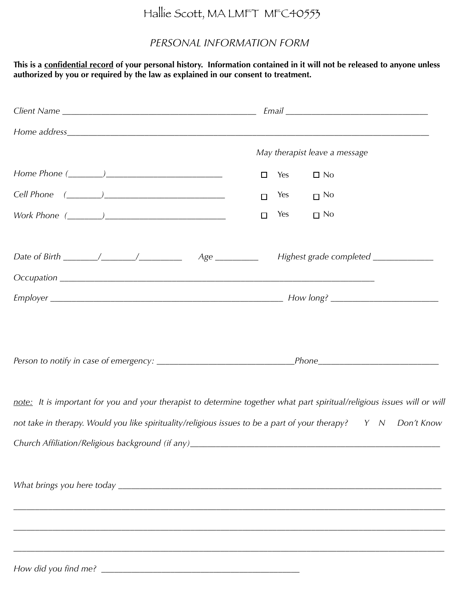## Hallie Scott, MA LMFT MFC40553

## *PERSONAL INFORMATION FORM*

**This is a confidential record of your personal history. Information contained in it will not be released to anyone unless authorized by you or required by the law as explained in our consent to treatment.** 

| May therapist leave a message                                                                                            |
|--------------------------------------------------------------------------------------------------------------------------|
| $\Box$ No<br>□<br>Yes                                                                                                    |
| Yes<br>$\Box$ No<br>□                                                                                                    |
| $\Box$ No<br>Yes<br>$\Box$                                                                                               |
| Highest grade completed _____________                                                                                    |
|                                                                                                                          |
|                                                                                                                          |
|                                                                                                                          |
| note: It is important for you and your therapist to determine together what part spiritual/religious issues will or will |
| not take in therapy. Would you like spirituality/religious issues to be a part of your therapy? Y N Don't Know           |
|                                                                                                                          |
|                                                                                                                          |
|                                                                                                                          |
|                                                                                                                          |
|                                                                                                                          |
|                                                                                                                          |

*How did you find me?* \_\_\_\_\_\_\_\_\_\_\_\_\_\_\_\_\_\_\_\_\_\_\_\_\_\_\_\_\_\_\_\_\_\_\_\_\_\_\_\_\_\_\_\_\_\_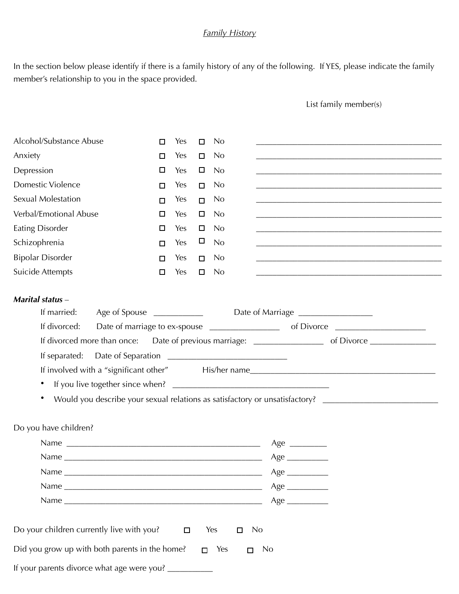## *Family History*

In the section below please identify if there is a family history of any of the following. If YES, please indicate the family member's relationship to you in the space provided.

List family member(s)

| □<br>□<br>Anxiety<br>Yes<br>$\Box$<br>N <sub>0</sub><br>□<br>Depression<br>$\Box$<br>□<br>Yes<br>No<br><b>Domestic Violence</b><br>Yes<br><b>No</b><br>$\Box$<br>□<br><b>Sexual Molestation</b><br>Yes<br>N <sub>0</sub><br>$\Box$<br>□<br>Verbal/Emotional Abuse<br>□<br>Yes<br>$\Box$<br>N <sub>0</sub><br>Eating Disorder<br>Yes<br>N <sub>0</sub><br>□<br>$\Box$<br>$\Box$<br>Schizophrenia<br>Yes<br>No<br>П<br><u> 1989 - Johann Stein, marwolaethau a bhann an t-Amhair ann an t-Amhair an t-Amhair an t-Amhair an t-Amhair an</u><br><b>Bipolar Disorder</b><br>Yes<br><b>No</b><br>$\Box$<br>$\Box$<br><u> 1989 - Johann Barn, amerikan bernama di sebagai bernama di sebagai bernama di sebagai bernama di sebagai bern</u><br><b>Suicide Attempts</b><br>Yes<br>$\Box$<br>N <sub>0</sub><br>$\Box$<br><b>Marital status</b> -<br>If married:<br>If divorced:<br>If divorced more than once: Date of previous marriage: ____________________ of Divorce ___________________<br>If involved with a "significant other" His/her name<br>٠<br>Would you describe your sexual relations as satisfactory or unsatisfactory? ________________________<br>٠<br>Do you have children?<br>Age $\_\_$<br>Age<br>Age<br>Do your children currently live with you?<br>Yes<br><b>No</b><br>$\Box$<br>$\Box$<br>Did you grow up with both parents in the home?<br>$\Box$ Yes<br><b>No</b><br>$\Box$<br>If your parents divorce what age were you? ___________ |                         |  |     |  |                |  |  |
|-----------------------------------------------------------------------------------------------------------------------------------------------------------------------------------------------------------------------------------------------------------------------------------------------------------------------------------------------------------------------------------------------------------------------------------------------------------------------------------------------------------------------------------------------------------------------------------------------------------------------------------------------------------------------------------------------------------------------------------------------------------------------------------------------------------------------------------------------------------------------------------------------------------------------------------------------------------------------------------------------------------------------------------------------------------------------------------------------------------------------------------------------------------------------------------------------------------------------------------------------------------------------------------------------------------------------------------------------------------------------------------------------------------------------------------------------------------|-------------------------|--|-----|--|----------------|--|--|
|                                                                                                                                                                                                                                                                                                                                                                                                                                                                                                                                                                                                                                                                                                                                                                                                                                                                                                                                                                                                                                                                                                                                                                                                                                                                                                                                                                                                                                                           | Alcohol/Substance Abuse |  | Yes |  | N <sub>0</sub> |  |  |
|                                                                                                                                                                                                                                                                                                                                                                                                                                                                                                                                                                                                                                                                                                                                                                                                                                                                                                                                                                                                                                                                                                                                                                                                                                                                                                                                                                                                                                                           |                         |  |     |  |                |  |  |
|                                                                                                                                                                                                                                                                                                                                                                                                                                                                                                                                                                                                                                                                                                                                                                                                                                                                                                                                                                                                                                                                                                                                                                                                                                                                                                                                                                                                                                                           |                         |  |     |  |                |  |  |
|                                                                                                                                                                                                                                                                                                                                                                                                                                                                                                                                                                                                                                                                                                                                                                                                                                                                                                                                                                                                                                                                                                                                                                                                                                                                                                                                                                                                                                                           |                         |  |     |  |                |  |  |
|                                                                                                                                                                                                                                                                                                                                                                                                                                                                                                                                                                                                                                                                                                                                                                                                                                                                                                                                                                                                                                                                                                                                                                                                                                                                                                                                                                                                                                                           |                         |  |     |  |                |  |  |
|                                                                                                                                                                                                                                                                                                                                                                                                                                                                                                                                                                                                                                                                                                                                                                                                                                                                                                                                                                                                                                                                                                                                                                                                                                                                                                                                                                                                                                                           |                         |  |     |  |                |  |  |
|                                                                                                                                                                                                                                                                                                                                                                                                                                                                                                                                                                                                                                                                                                                                                                                                                                                                                                                                                                                                                                                                                                                                                                                                                                                                                                                                                                                                                                                           |                         |  |     |  |                |  |  |
|                                                                                                                                                                                                                                                                                                                                                                                                                                                                                                                                                                                                                                                                                                                                                                                                                                                                                                                                                                                                                                                                                                                                                                                                                                                                                                                                                                                                                                                           |                         |  |     |  |                |  |  |
|                                                                                                                                                                                                                                                                                                                                                                                                                                                                                                                                                                                                                                                                                                                                                                                                                                                                                                                                                                                                                                                                                                                                                                                                                                                                                                                                                                                                                                                           |                         |  |     |  |                |  |  |
|                                                                                                                                                                                                                                                                                                                                                                                                                                                                                                                                                                                                                                                                                                                                                                                                                                                                                                                                                                                                                                                                                                                                                                                                                                                                                                                                                                                                                                                           |                         |  |     |  |                |  |  |
|                                                                                                                                                                                                                                                                                                                                                                                                                                                                                                                                                                                                                                                                                                                                                                                                                                                                                                                                                                                                                                                                                                                                                                                                                                                                                                                                                                                                                                                           |                         |  |     |  |                |  |  |
|                                                                                                                                                                                                                                                                                                                                                                                                                                                                                                                                                                                                                                                                                                                                                                                                                                                                                                                                                                                                                                                                                                                                                                                                                                                                                                                                                                                                                                                           |                         |  |     |  |                |  |  |
|                                                                                                                                                                                                                                                                                                                                                                                                                                                                                                                                                                                                                                                                                                                                                                                                                                                                                                                                                                                                                                                                                                                                                                                                                                                                                                                                                                                                                                                           |                         |  |     |  |                |  |  |
|                                                                                                                                                                                                                                                                                                                                                                                                                                                                                                                                                                                                                                                                                                                                                                                                                                                                                                                                                                                                                                                                                                                                                                                                                                                                                                                                                                                                                                                           |                         |  |     |  |                |  |  |
|                                                                                                                                                                                                                                                                                                                                                                                                                                                                                                                                                                                                                                                                                                                                                                                                                                                                                                                                                                                                                                                                                                                                                                                                                                                                                                                                                                                                                                                           |                         |  |     |  |                |  |  |
|                                                                                                                                                                                                                                                                                                                                                                                                                                                                                                                                                                                                                                                                                                                                                                                                                                                                                                                                                                                                                                                                                                                                                                                                                                                                                                                                                                                                                                                           |                         |  |     |  |                |  |  |
|                                                                                                                                                                                                                                                                                                                                                                                                                                                                                                                                                                                                                                                                                                                                                                                                                                                                                                                                                                                                                                                                                                                                                                                                                                                                                                                                                                                                                                                           |                         |  |     |  |                |  |  |
|                                                                                                                                                                                                                                                                                                                                                                                                                                                                                                                                                                                                                                                                                                                                                                                                                                                                                                                                                                                                                                                                                                                                                                                                                                                                                                                                                                                                                                                           |                         |  |     |  |                |  |  |
|                                                                                                                                                                                                                                                                                                                                                                                                                                                                                                                                                                                                                                                                                                                                                                                                                                                                                                                                                                                                                                                                                                                                                                                                                                                                                                                                                                                                                                                           |                         |  |     |  |                |  |  |
|                                                                                                                                                                                                                                                                                                                                                                                                                                                                                                                                                                                                                                                                                                                                                                                                                                                                                                                                                                                                                                                                                                                                                                                                                                                                                                                                                                                                                                                           |                         |  |     |  |                |  |  |
|                                                                                                                                                                                                                                                                                                                                                                                                                                                                                                                                                                                                                                                                                                                                                                                                                                                                                                                                                                                                                                                                                                                                                                                                                                                                                                                                                                                                                                                           |                         |  |     |  |                |  |  |
|                                                                                                                                                                                                                                                                                                                                                                                                                                                                                                                                                                                                                                                                                                                                                                                                                                                                                                                                                                                                                                                                                                                                                                                                                                                                                                                                                                                                                                                           |                         |  |     |  |                |  |  |
|                                                                                                                                                                                                                                                                                                                                                                                                                                                                                                                                                                                                                                                                                                                                                                                                                                                                                                                                                                                                                                                                                                                                                                                                                                                                                                                                                                                                                                                           |                         |  |     |  |                |  |  |
|                                                                                                                                                                                                                                                                                                                                                                                                                                                                                                                                                                                                                                                                                                                                                                                                                                                                                                                                                                                                                                                                                                                                                                                                                                                                                                                                                                                                                                                           |                         |  |     |  |                |  |  |
|                                                                                                                                                                                                                                                                                                                                                                                                                                                                                                                                                                                                                                                                                                                                                                                                                                                                                                                                                                                                                                                                                                                                                                                                                                                                                                                                                                                                                                                           |                         |  |     |  |                |  |  |
|                                                                                                                                                                                                                                                                                                                                                                                                                                                                                                                                                                                                                                                                                                                                                                                                                                                                                                                                                                                                                                                                                                                                                                                                                                                                                                                                                                                                                                                           |                         |  |     |  |                |  |  |
|                                                                                                                                                                                                                                                                                                                                                                                                                                                                                                                                                                                                                                                                                                                                                                                                                                                                                                                                                                                                                                                                                                                                                                                                                                                                                                                                                                                                                                                           |                         |  |     |  |                |  |  |
|                                                                                                                                                                                                                                                                                                                                                                                                                                                                                                                                                                                                                                                                                                                                                                                                                                                                                                                                                                                                                                                                                                                                                                                                                                                                                                                                                                                                                                                           |                         |  |     |  |                |  |  |
|                                                                                                                                                                                                                                                                                                                                                                                                                                                                                                                                                                                                                                                                                                                                                                                                                                                                                                                                                                                                                                                                                                                                                                                                                                                                                                                                                                                                                                                           |                         |  |     |  |                |  |  |
|                                                                                                                                                                                                                                                                                                                                                                                                                                                                                                                                                                                                                                                                                                                                                                                                                                                                                                                                                                                                                                                                                                                                                                                                                                                                                                                                                                                                                                                           |                         |  |     |  |                |  |  |